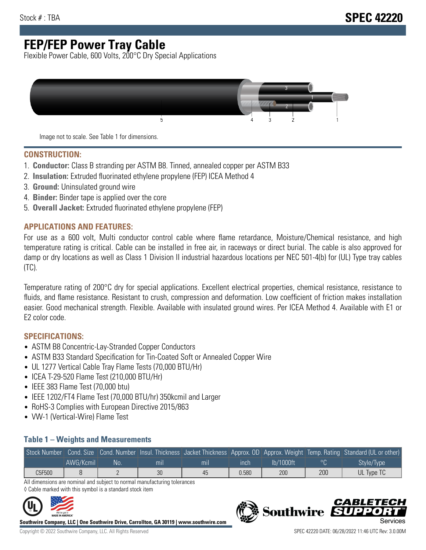## **FEP/FEP Power Tray Cable**

Flexible Power Cable, 600 Volts, 200°C Dry Special Applications



Image not to scale. See Table 1 for dimensions.

#### **CONSTRUCTION:**

- 1. **Conductor:** Class B stranding per ASTM B8. Tinned, annealed copper per ASTM B33
- 2. **Insulation:** Extruded fluorinated ethylene propylene (FEP) ICEA Method 4
- 3. **Ground:** Uninsulated ground wire
- 4. **Binder:** Binder tape is applied over the core
- 5. **Overall Jacket:** Extruded fluorinated ethylene propylene (FEP)

#### **APPLICATIONS AND FEATURES:**

For use as a 600 volt, Multi conductor control cable where flame retardance, Moisture/Chemical resistance, and high temperature rating is critical. Cable can be installed in free air, in raceways or direct burial. The cable is also approved for damp or dry locations as well as Class 1 Division II industrial hazardous locations per NEC 501-4(b) for (UL) Type tray cables (TC).

Temperature rating of 200°C dry for special applications. Excellent electrical properties, chemical resistance, resistance to fluids, and flame resistance. Resistant to crush, compression and deformation. Low coefficient of friction makes installation easier. Good mechanical strength. Flexible. Available with insulated ground wires. Per ICEA Method 4. Available with E1 or E2 color code.

### **SPECIFICATIONS:**

- ASTM B8 Concentric-Lay-Stranded Copper Conductors
- ASTM B33 Standard Specification for Tin-Coated Soft or Annealed Copper Wire
- UL 1277 Vertical Cable Tray Flame Tests (70,000 BTU/Hr)
- ICEA T-29-520 Flame Test (210,000 BTU/Hr)
- IEEE 383 Flame Test (70,000 btu)
- IEEE 1202/FT4 Flame Test (70,000 BTU/hr) 350kcmil and Larger
- RoHS-3 Complies with European Directive 2015/863
- VW-1 (Vertical-Wire) Flame Test

#### **Table 1 – Weights and Measurements**

|        |           |     |     |     |       |           |     | Stock Number Cond. Size Cond. Number Insul. Thickness Jacket Thickness Approx. OD Approx. Weight Temp. Rating Standard (UL or other) |
|--------|-----------|-----|-----|-----|-------|-----------|-----|--------------------------------------------------------------------------------------------------------------------------------------|
|        | AWG/Kcmil | No. | mıl | mil | ınch  | lb/1000ft |     | Style/Type                                                                                                                           |
| C5F500 |           |     | 30  | 45  | 0.580 | 200       | 200 | UL Type TC                                                                                                                           |

All dimensions are nominal and subject to normal manufacturing tolerances ◊ Cable marked with this symbol is a standard stock item



**Southwire Company, LLC | One Southwire Drive, Carrollton, GA 30119 | www.southwire.com**